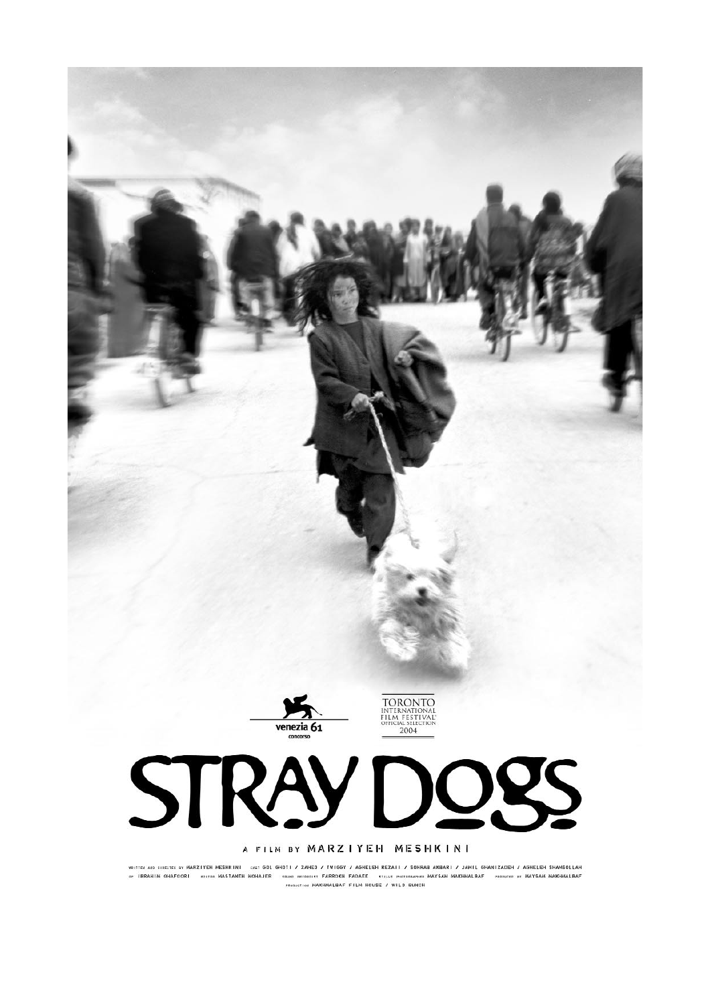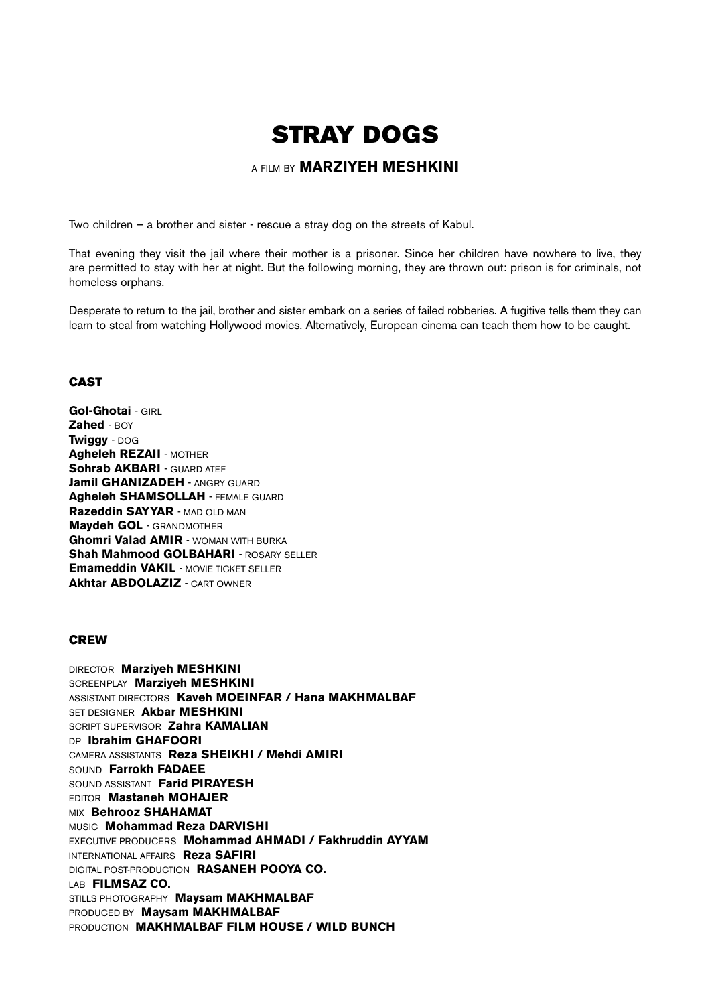# **STRAY DOGS**

#### A FILM BY **MARZIYEH MESHKINI**

Two children – a brother and sister - rescue a stray dog on the streets of Kabul.

That evening they visit the jail where their mother is a prisoner. Since her children have nowhere to live, they are permitted to stay with her at night. But the following morning, they are thrown out: prison is for criminals, not homeless orphans.

Desperate to return to the jail, brother and sister embark on a series of failed robberies. A fugitive tells them they can learn to steal from watching Hollywood movies. Alternatively, European cinema can teach them how to be caught.

#### **CAST**

**Gol-Ghotai** - GIRL **Zahed** - BOY **Twiggy** - DOG **Agheleh REZAII** - MOTHER **Sohrab AKBARI - GUARD ATEF Jamil GHANIZADEH - ANGRY GUARD Agheleh SHAMSOLLAH** - FEMALE GUARD **Razeddin SAYYAR** - MAD OLD MAN **Maydeh GOL** - GRANDMOTHER **Ghomri Valad AMIR** - WOMAN WITH BURKA **Shah Mahmood GOLBAHARI - ROSARY SELLER Emameddin VAKIL** - MOVIE TICKET SELLER **Akhtar ABDOLAZIZ** - CART OWNER

#### **CREW**

DIRECTOR **Marziyeh MESHKINI** SCREENPLAY **Marziyeh MESHKINI** ASSISTANT DIRECTORS **Kaveh MOEINFAR / Hana MAKHMALBAF** SET DESIGNER **Akbar MESHKINI** SCRIPT SUPERVISOR **Zahra KAMALIAN** DP **Ibrahim GHAFOORI** CAMERA ASSISTANTS **Reza SHEIKHI / Mehdi AMIRI** SOUND **Farrokh FADAEE** SOUND ASSISTANT **Farid PIRAYESH** EDITOR **Mastaneh MOHAJER** MIX **Behrooz SHAHAMAT** MUSIC **Mohammad Reza DARVISHI** EXECUTIVE PRODUCERS **Mohammad AHMADI / Fakhruddin AYYAM** INTERNATIONAL AFFAIRS **Reza SAFIRI** DIGITAL POST-PRODUCTION **RASANEH POOYA CO.** LAB **FILMSAZ CO.** STILLS PHOTOGRAPHY **Maysam MAKHMALBAF** PRODUCED BY **Maysam MAKHMALBAF** PRODUCTION **MAKHMALBAF FILM HOUSE / WILD BUNCH**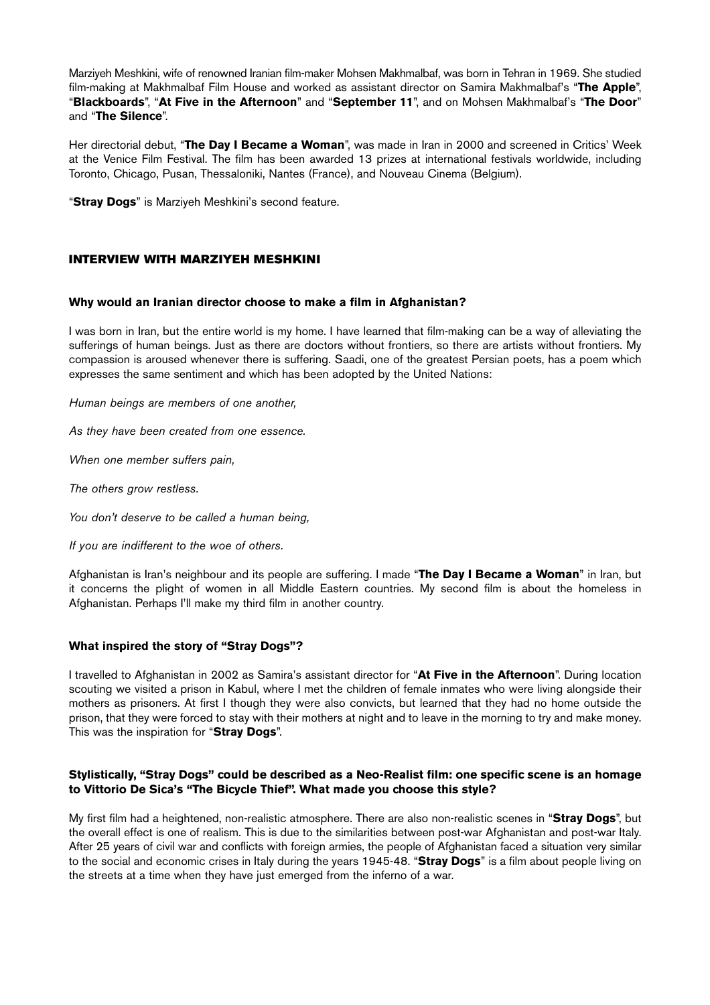Marziyeh Meshkini, wife of renowned Iranian film-maker Mohsen Makhmalbaf, was born in Tehran in 1969. She studied film-making at Makhmalbaf Film House and worked as assistant director on Samira Makhmalbaf's "**The Apple**", "**Blackboards**", "**At Five in the Afternoon**" and "**September 11**", and on Mohsen Makhmalbaf's "**The Door**" and "**The Silence**".

Her directorial debut, "**The Day I Became a Woman**", was made in Iran in 2000 and screened in Critics' Week at the Venice Film Festival. The film has been awarded 13 prizes at international festivals worldwide, including Toronto, Chicago, Pusan, Thessaloniki, Nantes (France), and Nouveau Cinema (Belgium).

"**Stray Dogs**" is Marziyeh Meshkini's second feature.

#### **INTERVIEW WITH MARZIYEH MESHKINI**

#### **Why would an Iranian director choose to make a film in Afghanistan?**

I was born in Iran, but the entire world is my home. I have learned that film-making can be a way of alleviating the sufferings of human beings. Just as there are doctors without frontiers, so there are artists without frontiers. My compassion is aroused whenever there is suffering. Saadi, one of the greatest Persian poets, has a poem which expresses the same sentiment and which has been adopted by the United Nations:

*Human beings are members of one another,* 

*As they have been created from one essence.*

*When one member suffers pain,* 

*The others grow restless.* 

*You don't deserve to be called a human being,*

*If you are indifferent to the woe of others.*

Afghanistan is Iran's neighbour and its people are suffering. I made "**The Day I Became a Woman**" in Iran, but it concerns the plight of women in all Middle Eastern countries. My second film is about the homeless in Afghanistan. Perhaps I'll make my third film in another country.

#### **What inspired the story of "Stray Dogs"?**

I travelled to Afghanistan in 2002 as Samira's assistant director for "**At Five in the Afternoon**". During location scouting we visited a prison in Kabul, where I met the children of female inmates who were living alongside their mothers as prisoners. At first I though they were also convicts, but learned that they had no home outside the prison, that they were forced to stay with their mothers at night and to leave in the morning to try and make money. This was the inspiration for "**Stray Dogs**".

#### **Stylistically, "Stray Dogs" could be described as a Neo-Realist film: one specific scene is an homage to Vittorio De Sica's "The Bicycle Thief". What made you choose this style?**

My first film had a heightened, non-realistic atmosphere. There are also non-realistic scenes in "**Stray Dogs**", but the overall effect is one of realism. This is due to the similarities between post-war Afghanistan and post-war Italy. After 25 years of civil war and conflicts with foreign armies, the people of Afghanistan faced a situation very similar to the social and economic crises in Italy during the years 1945-48. "**Stray Dogs**" is a film about people living on the streets at a time when they have just emerged from the inferno of a war.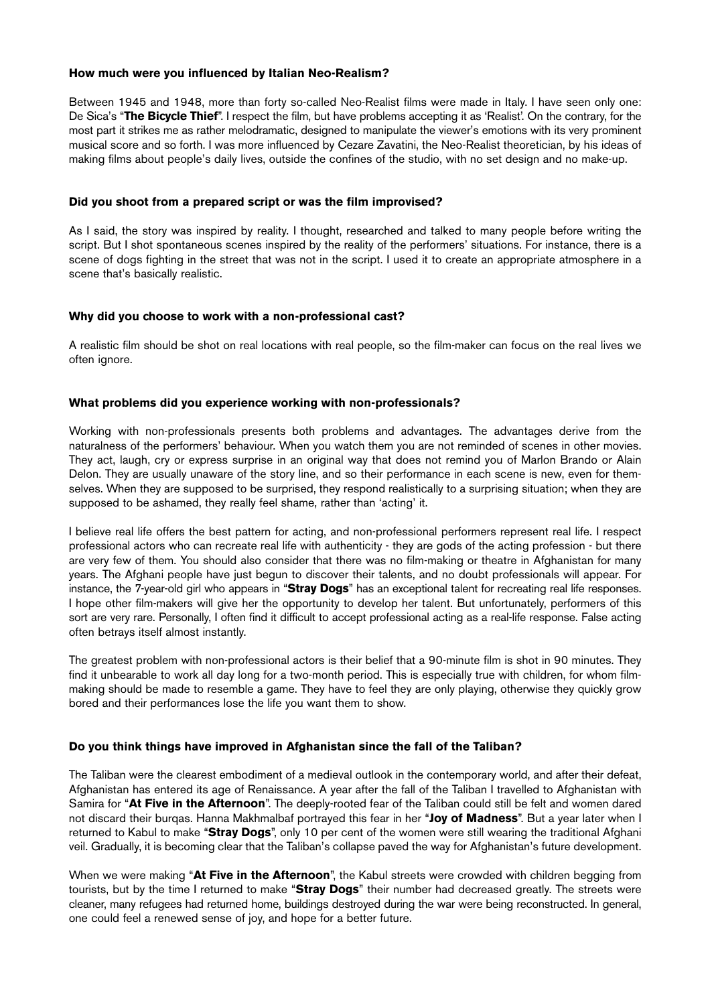#### **How much were you influenced by Italian Neo-Realism?**

Between 1945 and 1948, more than forty so-called Neo-Realist films were made in Italy. I have seen only one: De Sica's "**The Bicycle Thief**". I respect the film, but have problems accepting it as 'Realist'. On the contrary, for the most part it strikes me as rather melodramatic, designed to manipulate the viewer's emotions with its very prominent musical score and so forth. I was more influenced by Cezare Zavatini, the Neo-Realist theoretician, by his ideas of making films about people's daily lives, outside the confines of the studio, with no set design and no make-up.

#### **Did you shoot from a prepared script or was the film improvised?**

As I said, the story was inspired by reality. I thought, researched and talked to many people before writing the script. But I shot spontaneous scenes inspired by the reality of the performers' situations. For instance, there is a scene of dogs fighting in the street that was not in the script. I used it to create an appropriate atmosphere in a scene that's basically realistic.

#### **Why did you choose to work with a non-professional cast?**

A realistic film should be shot on real locations with real people, so the film-maker can focus on the real lives we often ignore.

#### **What problems did you experience working with non-professionals?**

Working with non-professionals presents both problems and advantages. The advantages derive from the naturalness of the performers' behaviour. When you watch them you are not reminded of scenes in other movies. They act, laugh, cry or express surprise in an original way that does not remind you of Marlon Brando or Alain Delon. They are usually unaware of the story line, and so their performance in each scene is new, even for themselves. When they are supposed to be surprised, they respond realistically to a surprising situation; when they are supposed to be ashamed, they really feel shame, rather than 'acting' it.

I believe real life offers the best pattern for acting, and non-professional performers represent real life. I respect professional actors who can recreate real life with authenticity - they are gods of the acting profession - but there are very few of them. You should also consider that there was no film-making or theatre in Afghanistan for many years. The Afghani people have just begun to discover their talents, and no doubt professionals will appear. For instance, the 7-year-old girl who appears in "**Stray Dogs**" has an exceptional talent for recreating real life responses. I hope other film-makers will give her the opportunity to develop her talent. But unfortunately, performers of this sort are very rare. Personally, I often find it difficult to accept professional acting as a real-life response. False acting often betrays itself almost instantly.

The greatest problem with non-professional actors is their belief that a 90-minute film is shot in 90 minutes. They find it unbearable to work all day long for a two-month period. This is especially true with children, for whom filmmaking should be made to resemble a game. They have to feel they are only playing, otherwise they quickly grow bored and their performances lose the life you want them to show.

#### **Do you think things have improved in Afghanistan since the fall of the Taliban?**

The Taliban were the clearest embodiment of a medieval outlook in the contemporary world, and after their defeat, Afghanistan has entered its age of Renaissance. A year after the fall of the Taliban I travelled to Afghanistan with Samira for "**At Five in the Afternoon**". The deeply-rooted fear of the Taliban could still be felt and women dared not discard their burqas. Hanna Makhmalbaf portrayed this fear in her "**Joy of Madness**". But a year later when I returned to Kabul to make "**Stray Dogs**", only 10 per cent of the women were still wearing the traditional Afghani veil. Gradually, it is becoming clear that the Taliban's collapse paved the way for Afghanistan's future development.

When we were making "**At Five in the Afternoon**", the Kabul streets were crowded with children begging from tourists, but by the time I returned to make "**Stray Dogs**" their number had decreased greatly. The streets were cleaner, many refugees had returned home, buildings destroyed during the war were being reconstructed. In general, one could feel a renewed sense of joy, and hope for a better future.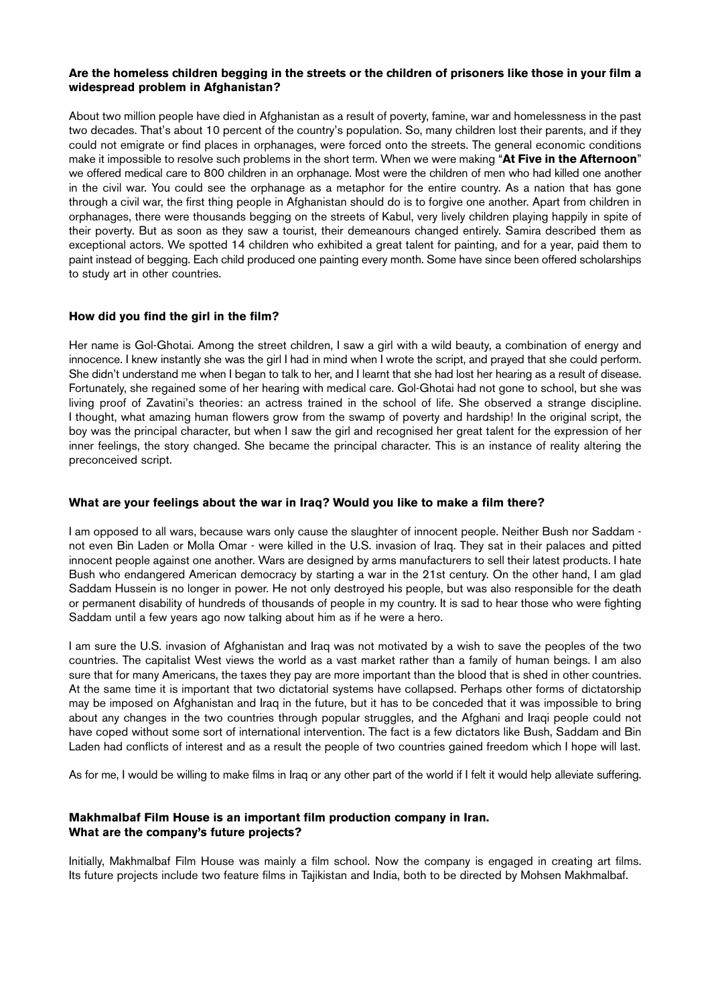#### **Are the homeless children begging in the streets or the children of prisoners like those in your film a widespread problem in Afghanistan?**

About two million people have died in Afghanistan as a result of poverty, famine, war and homelessness in the past two decades. That's about 10 percent of the country's population. So, many children lost their parents, and if they could not emigrate or find places in orphanages, were forced onto the streets. The general economic conditions make it impossible to resolve such problems in the short term. When we were making "**At Five in the Afternoon**" we offered medical care to 800 children in an orphanage. Most were the children of men who had killed one another in the civil war. You could see the orphanage as a metaphor for the entire country. As a nation that has gone through a civil war, the first thing people in Afghanistan should do is to forgive one another. Apart from children in orphanages, there were thousands begging on the streets of Kabul, very lively children playing happily in spite of their poverty. But as soon as they saw a tourist, their demeanours changed entirely. Samira described them as exceptional actors. We spotted 14 children who exhibited a great talent for painting, and for a year, paid them to paint instead of begging. Each child produced one painting every month. Some have since been offered scholarships to study art in other countries.

#### **How did you find the girl in the film?**

Her name is Gol-Ghotai. Among the street children, I saw a girl with a wild beauty, a combination of energy and innocence. I knew instantly she was the girl I had in mind when I wrote the script, and prayed that she could perform. She didn't understand me when I began to talk to her, and I learnt that she had lost her hearing as a result of disease. Fortunately, she regained some of her hearing with medical care. Gol-Ghotai had not gone to school, but she was living proof of Zavatini's theories: an actress trained in the school of life. She observed a strange discipline. I thought, what amazing human flowers grow from the swamp of poverty and hardship! In the original script, the boy was the principal character, but when I saw the girl and recognised her great talent for the expression of her inner feelings, the story changed. She became the principal character. This is an instance of reality altering the preconceived script.

#### **What are your feelings about the war in Iraq? Would you like to make a film there?**

I am opposed to all wars, because wars only cause the slaughter of innocent people. Neither Bush nor Saddam not even Bin Laden or Molla Omar - were killed in the U.S. invasion of Iraq. They sat in their palaces and pitted innocent people against one another. Wars are designed by arms manufacturers to sell their latest products. I hate Bush who endangered American democracy by starting a war in the 21st century. On the other hand, I am glad Saddam Hussein is no longer in power. He not only destroyed his people, but was also responsible for the death or permanent disability of hundreds of thousands of people in my country. It is sad to hear those who were fighting Saddam until a few years ago now talking about him as if he were a hero.

I am sure the U.S. invasion of Afghanistan and Iraq was not motivated by a wish to save the peoples of the two countries. The capitalist West views the world as a vast market rather than a family of human beings. I am also sure that for many Americans, the taxes they pay are more important than the blood that is shed in other countries. At the same time it is important that two dictatorial systems have collapsed. Perhaps other forms of dictatorship may be imposed on Afghanistan and Iraq in the future, but it has to be conceded that it was impossible to bring about any changes in the two countries through popular struggles, and the Afghani and Iraqi people could not have coped without some sort of international intervention. The fact is a few dictators like Bush, Saddam and Bin Laden had conflicts of interest and as a result the people of two countries gained freedom which I hope will last.

As for me, I would be willing to make films in Iraq or any other part of the world if I felt it would help alleviate suffering.

#### **Makhmalbaf Film House is an important film production company in Iran. What are the company's future projects?**

Initially, Makhmalbaf Film House was mainly a film school. Now the company is engaged in creating art films. Its future projects include two feature films in Tajikistan and India, both to be directed by Mohsen Makhmalbaf.